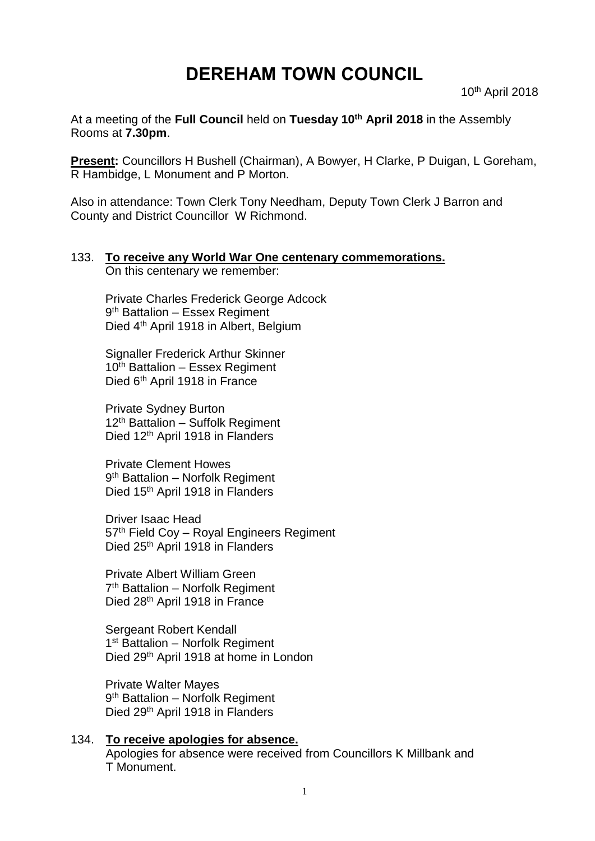# **DEREHAM TOWN COUNCIL**

10th April 2018

At a meeting of the **Full Council** held on **Tuesday 10th April 2018** in the Assembly Rooms at **7.30pm**.

**Present:** Councillors H Bushell (Chairman), A Bowyer, H Clarke, P Duigan, L Goreham, R Hambidge, L Monument and P Morton.

Also in attendance: Town Clerk Tony Needham, Deputy Town Clerk J Barron and County and District Councillor W Richmond.

#### 133. **To receive any World War One centenary commemorations.**

On this centenary we remember:

Private Charles Frederick George Adcock 9<sup>th</sup> Battalion – Essex Regiment Died 4<sup>th</sup> April 1918 in Albert, Belgium

Signaller Frederick Arthur Skinner 10th Battalion – Essex Regiment Died 6<sup>th</sup> April 1918 in France

Private Sydney Burton 12<sup>th</sup> Battalion – Suffolk Regiment Died 12<sup>th</sup> April 1918 in Flanders

Private Clement Howes 9<sup>th</sup> Battalion - Norfolk Regiment Died 15<sup>th</sup> April 1918 in Flanders

Driver Isaac Head 57th Field Coy – Royal Engineers Regiment Died 25<sup>th</sup> April 1918 in Flanders

Private Albert William Green 7<sup>th</sup> Battalion - Norfolk Regiment Died 28<sup>th</sup> April 1918 in France

Sergeant Robert Kendall 1<sup>st</sup> Battalion - Norfolk Regiment Died 29th April 1918 at home in London

Private Walter Mayes 9<sup>th</sup> Battalion – Norfolk Regiment Died 29<sup>th</sup> April 1918 in Flanders

134. **To receive apologies for absence.** Apologies for absence were received from Councillors K Millbank and T Monument.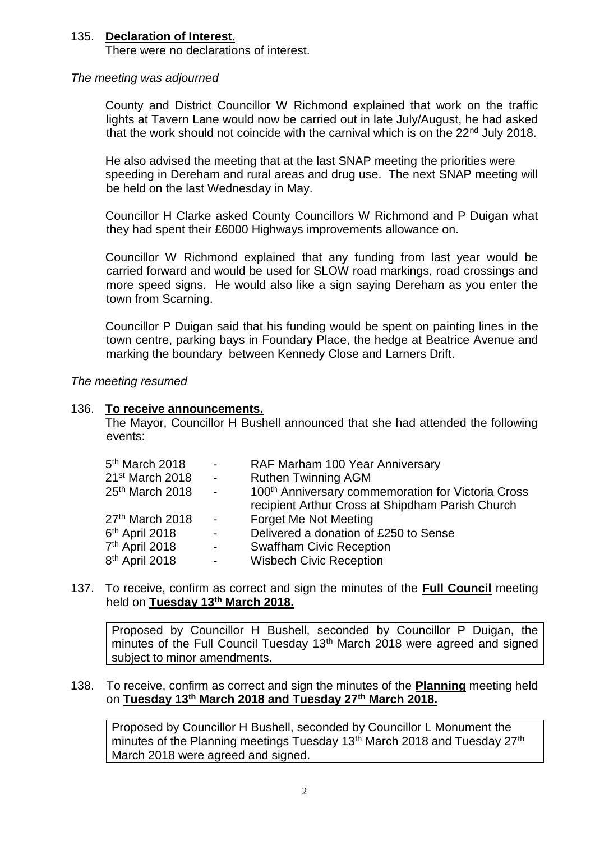#### 135. **Declaration of Interest**.

There were no declarations of interest.

#### *The meeting was adjourned*

County and District Councillor W Richmond explained that work on the traffic lights at Tavern Lane would now be carried out in late July/August, he had asked that the work should not coincide with the carnival which is on the 22<sup>nd</sup> July 2018.

He also advised the meeting that at the last SNAP meeting the priorities were speeding in Dereham and rural areas and drug use. The next SNAP meeting will be held on the last Wednesday in May.

Councillor H Clarke asked County Councillors W Richmond and P Duigan what they had spent their £6000 Highways improvements allowance on.

Councillor W Richmond explained that any funding from last year would be carried forward and would be used for SLOW road markings, road crossings and more speed signs. He would also like a sign saying Dereham as you enter the town from Scarning.

Councillor P Duigan said that his funding would be spent on painting lines in the town centre, parking bays in Foundary Place, the hedge at Beatrice Avenue and marking the boundary between Kennedy Close and Larners Drift.

*The meeting resumed*

#### 136. **To receive announcements.**

The Mayor, Councillor H Bushell announced that she had attended the following events:

| $5th$ March 2018            | $\sim 100$          | RAF Marham 100 Year Anniversary                                                                                    |
|-----------------------------|---------------------|--------------------------------------------------------------------------------------------------------------------|
| 21 <sup>st</sup> March 2018 | $\sim 10^{-10}$     | <b>Ruthen Twinning AGM</b>                                                                                         |
| 25th March 2018             | $\sim 10^{-10}$     | 100 <sup>th</sup> Anniversary commemoration for Victoria Cross<br>recipient Arthur Cross at Shipdham Parish Church |
| 27th March 2018             | $\sim 100$          | Forget Me Not Meeting                                                                                              |
| 6 <sup>th</sup> April 2018  | $\sim$              | Delivered a donation of £250 to Sense                                                                              |
| 7 <sup>th</sup> April 2018  | $\sim 10$           | <b>Swaffham Civic Reception</b>                                                                                    |
| 8 <sup>th</sup> April 2018  | $\omega_{\rm{max}}$ | <b>Wisbech Civic Reception</b>                                                                                     |

137. To receive, confirm as correct and sign the minutes of the **Full Council** meeting held on **Tuesday 13th March 2018.**

Proposed by Councillor H Bushell, seconded by Councillor P Duigan, the minutes of the Full Council Tuesday 13<sup>th</sup> March 2018 were agreed and signed subject to minor amendments.

#### 138. To receive, confirm as correct and sign the minutes of the **Planning** meeting held on **Tuesday 13th March 2018 and Tuesday 27th March 2018.**

Proposed by Councillor H Bushell, seconded by Councillor L Monument the minutes of the Planning meetings Tuesday  $13<sup>th</sup>$  March 2018 and Tuesday 27<sup>th</sup> March 2018 were agreed and signed.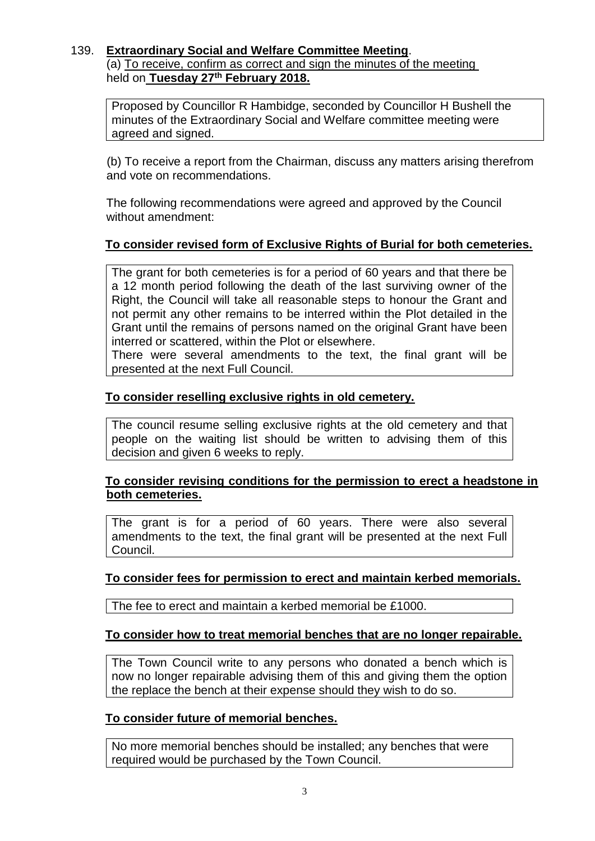#### 139. **Extraordinary Social and Welfare Committee Meeting**. (a) To receive, confirm as correct and sign the minutes of the meeting held on **Tuesday 27th February 2018.**

Proposed by Councillor R Hambidge, seconded by Councillor H Bushell the minutes of the Extraordinary Social and Welfare committee meeting were agreed and signed.

(b) To receive a report from the Chairman, discuss any matters arising therefrom and vote on recommendations.

The following recommendations were agreed and approved by the Council without amendment:

## **To consider revised form of Exclusive Rights of Burial for both cemeteries.**

The grant for both cemeteries is for a period of 60 years and that there be a 12 month period following the death of the last surviving owner of the Right, the Council will take all reasonable steps to honour the Grant and not permit any other remains to be interred within the Plot detailed in the Grant until the remains of persons named on the original Grant have been interred or scattered, within the Plot or elsewhere.

There were several amendments to the text, the final grant will be presented at the next Full Council.

## **To consider reselling exclusive rights in old cemetery.**

The council resume selling exclusive rights at the old cemetery and that people on the waiting list should be written to advising them of this decision and given 6 weeks to reply.

#### **To consider revising conditions for the permission to erect a headstone in both cemeteries.**

The grant is for a period of 60 years. There were also several amendments to the text, the final grant will be presented at the next Full Council.

#### **To consider fees for permission to erect and maintain kerbed memorials.**

The fee to erect and maintain a kerbed memorial be £1000.

#### **To consider how to treat memorial benches that are no longer repairable.**

The Town Council write to any persons who donated a bench which is now no longer repairable advising them of this and giving them the option the replace the bench at their expense should they wish to do so.

#### **To consider future of memorial benches.**

No more memorial benches should be installed; any benches that were required would be purchased by the Town Council.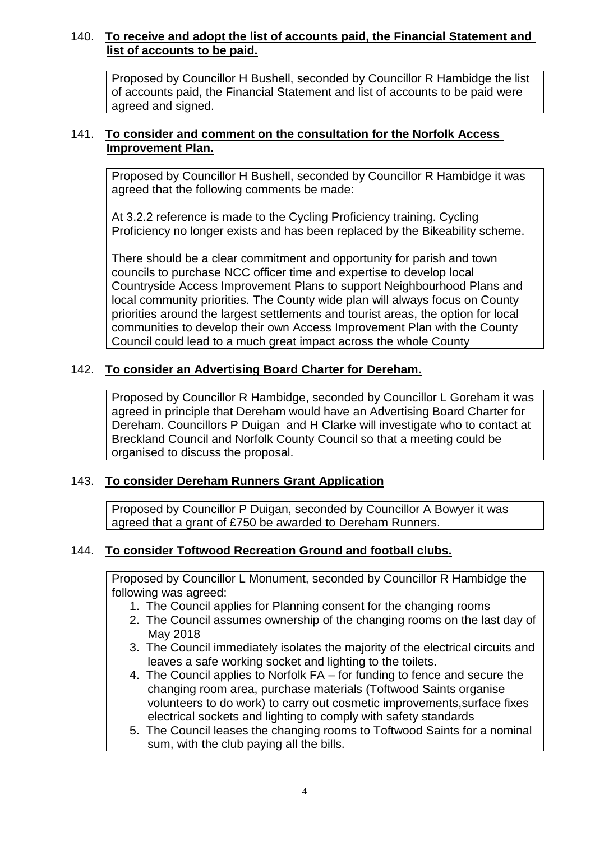## 140. **To receive and adopt the list of accounts paid, the Financial Statement and list of accounts to be paid.**

Proposed by Councillor H Bushell, seconded by Councillor R Hambidge the list of accounts paid, the Financial Statement and list of accounts to be paid were agreed and signed.

## 141. **To consider and comment on the consultation for the Norfolk Access Improvement Plan.**

Proposed by Councillor H Bushell, seconded by Councillor R Hambidge it was agreed that the following comments be made:

At 3.2.2 reference is made to the Cycling Proficiency training. Cycling Proficiency no longer exists and has been replaced by the Bikeability scheme.

There should be a clear commitment and opportunity for parish and town councils to purchase NCC officer time and expertise to develop local Countryside Access Improvement Plans to support Neighbourhood Plans and local community priorities. The County wide plan will always focus on County priorities around the largest settlements and tourist areas, the option for local communities to develop their own Access Improvement Plan with the County Council could lead to a much great impact across the whole County

## 142. **To consider an Advertising Board Charter for Dereham.**

Proposed by Councillor R Hambidge, seconded by Councillor L Goreham it was agreed in principle that Dereham would have an Advertising Board Charter for Dereham. Councillors P Duigan and H Clarke will investigate who to contact at Breckland Council and Norfolk County Council so that a meeting could be organised to discuss the proposal.

## 143. **To consider Dereham Runners Grant Application**

Proposed by Councillor P Duigan, seconded by Councillor A Bowyer it was agreed that a grant of £750 be awarded to Dereham Runners.

## 144. **To consider Toftwood Recreation Ground and football clubs.**

Proposed by Councillor L Monument, seconded by Councillor R Hambidge the following was agreed:

- 1. The Council applies for Planning consent for the changing rooms
- 2. The Council assumes ownership of the changing rooms on the last day of May 2018
- 3. The Council immediately isolates the majority of the electrical circuits and leaves a safe working socket and lighting to the toilets.
- 4. The Council applies to Norfolk FA for funding to fence and secure the changing room area, purchase materials (Toftwood Saints organise volunteers to do work) to carry out cosmetic improvements,surface fixes electrical sockets and lighting to comply with safety standards
- 5. The Council leases the changing rooms to Toftwood Saints for a nominal sum, with the club paying all the bills.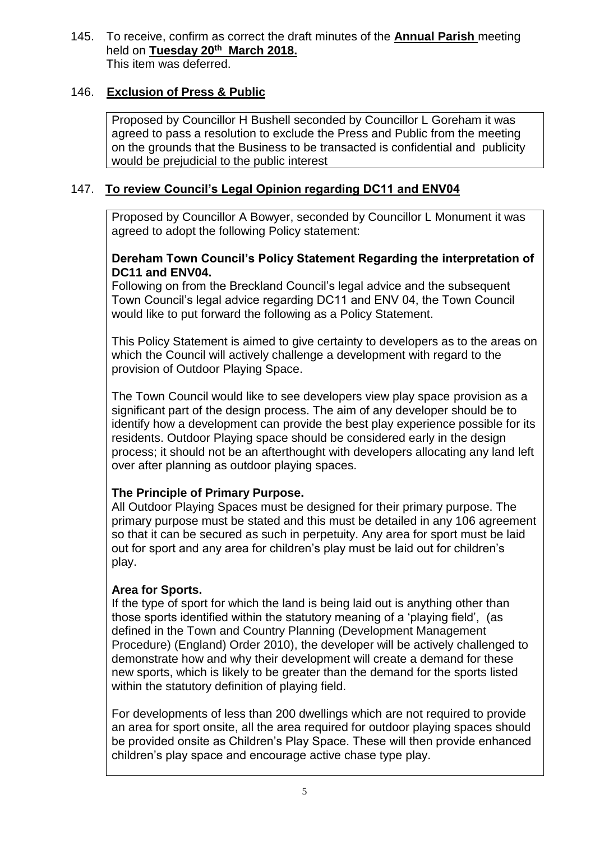145. To receive, confirm as correct the draft minutes of the **Annual Parish** meeting held on **Tuesday 20th March 2018.** This item was deferred.

## 146. **Exclusion of Press & Public**

Proposed by Councillor H Bushell seconded by Councillor L Goreham it was agreed to pass a resolution to exclude the Press and Public from the meeting on the grounds that the Business to be transacted is confidential and publicity would be prejudicial to the public interest

## 147. **To review Council's Legal Opinion regarding DC11 and ENV04**

Proposed by Councillor A Bowyer, seconded by Councillor L Monument it was agreed to adopt the following Policy statement:

#### **Dereham Town Council's Policy Statement Regarding the interpretation of DC11 and ENV04.**

Following on from the Breckland Council's legal advice and the subsequent Town Council's legal advice regarding DC11 and ENV 04, the Town Council would like to put forward the following as a Policy Statement.

This Policy Statement is aimed to give certainty to developers as to the areas on which the Council will actively challenge a development with regard to the provision of Outdoor Playing Space.

The Town Council would like to see developers view play space provision as a significant part of the design process. The aim of any developer should be to identify how a development can provide the best play experience possible for its residents. Outdoor Playing space should be considered early in the design process; it should not be an afterthought with developers allocating any land left over after planning as outdoor playing spaces.

## **The Principle of Primary Purpose.**

All Outdoor Playing Spaces must be designed for their primary purpose. The primary purpose must be stated and this must be detailed in any 106 agreement so that it can be secured as such in perpetuity. Any area for sport must be laid out for sport and any area for children's play must be laid out for children's play.

## **Area for Sports.**

If the type of sport for which the land is being laid out is anything other than those sports identified within the statutory meaning of a 'playing field', (as defined in the Town and Country Planning (Development Management Procedure) (England) Order 2010), the developer will be actively challenged to demonstrate how and why their development will create a demand for these new sports, which is likely to be greater than the demand for the sports listed within the statutory definition of playing field.

For developments of less than 200 dwellings which are not required to provide an area for sport onsite, all the area required for outdoor playing spaces should be provided onsite as Children's Play Space. These will then provide enhanced children's play space and encourage active chase type play.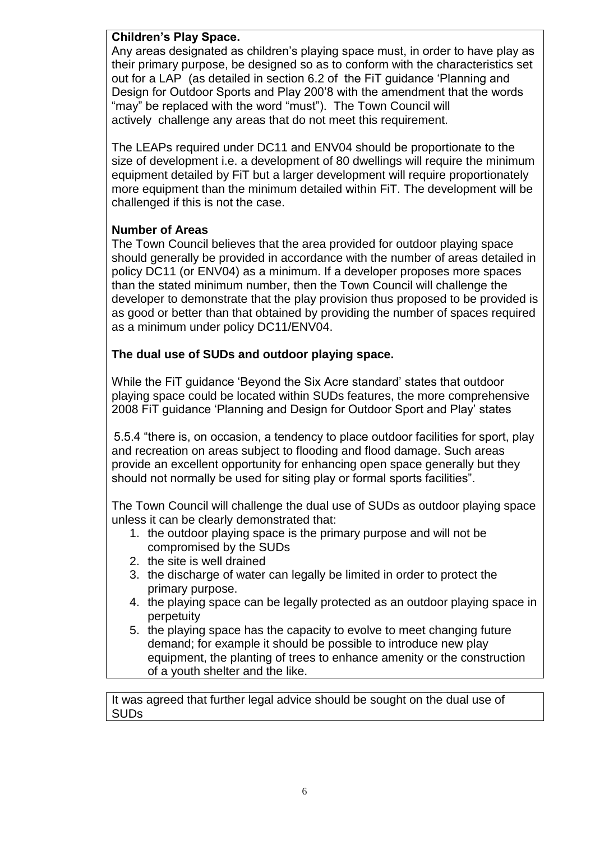## **Children's Play Space.**

Any areas designated as children's playing space must, in order to have play as their primary purpose, be designed so as to conform with the characteristics set out for a LAP (as detailed in section 6.2 of the FiT guidance 'Planning and Design for Outdoor Sports and Play 200'8 with the amendment that the words "may" be replaced with the word "must"). The Town Council will actively challenge any areas that do not meet this requirement.

The LEAPs required under DC11 and ENV04 should be proportionate to the size of development i.e. a development of 80 dwellings will require the minimum equipment detailed by FiT but a larger development will require proportionately more equipment than the minimum detailed within FiT. The development will be challenged if this is not the case.

#### **Number of Areas**

The Town Council believes that the area provided for outdoor playing space should generally be provided in accordance with the number of areas detailed in policy DC11 (or ENV04) as a minimum. If a developer proposes more spaces than the stated minimum number, then the Town Council will challenge the developer to demonstrate that the play provision thus proposed to be provided is as good or better than that obtained by providing the number of spaces required as a minimum under policy DC11/ENV04.

## **The dual use of SUDs and outdoor playing space.**

While the FiT guidance 'Beyond the Six Acre standard' states that outdoor playing space could be located within SUDs features, the more comprehensive 2008 FiT guidance 'Planning and Design for Outdoor Sport and Play' states

5.5.4 "there is, on occasion, a tendency to place outdoor facilities for sport, play and recreation on areas subject to flooding and flood damage. Such areas provide an excellent opportunity for enhancing open space generally but they should not normally be used for siting play or formal sports facilities".

The Town Council will challenge the dual use of SUDs as outdoor playing space unless it can be clearly demonstrated that:

- 1. the outdoor playing space is the primary purpose and will not be compromised by the SUDs
- 2. the site is well drained
- 3. the discharge of water can legally be limited in order to protect the primary purpose.
- 4. the playing space can be legally protected as an outdoor playing space in perpetuity
- 5. the playing space has the capacity to evolve to meet changing future demand; for example it should be possible to introduce new play equipment, the planting of trees to enhance amenity or the construction of a youth shelter and the like.

It was agreed that further legal advice should be sought on the dual use of SUDs